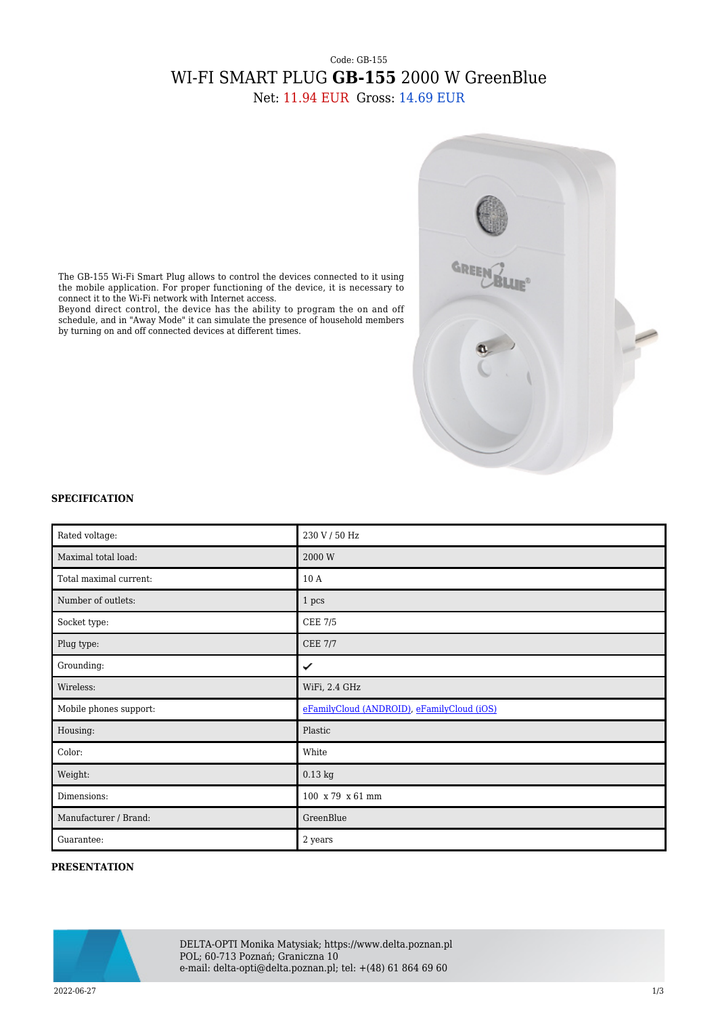## Code: GB-155 WI-FI SMART PLUG **GB-155** 2000 W GreenBlue

Net: 11.94 EUR Gross: 14.69 EUR



The GB-155 Wi-Fi Smart Plug allows to control the devices connected to it using the mobile application. For proper functioning of the device, it is necessary to connect it to the Wi-Fi network with Internet access.

Beyond direct control, the device has the ability to program the on and off schedule, and in "Away Mode" it can simulate the presence of household members by turning on and off connected devices at different times.

## **SPECIFICATION**

| Rated voltage:         | 230 V / 50 Hz                              |
|------------------------|--------------------------------------------|
| Maximal total load:    | 2000 W                                     |
| Total maximal current: | 10 A                                       |
| Number of outlets:     | 1 pcs                                      |
| Socket type:           | <b>CEE 7/5</b>                             |
| Plug type:             | <b>CEE 7/7</b>                             |
| Grounding:             | ✓                                          |
| Wireless:              | WiFi, 2.4 GHz                              |
| Mobile phones support: | eFamilyCloud (ANDROID), eFamilyCloud (iOS) |
| Housing:               | Plastic                                    |
| Color:                 | White                                      |
| Weight:                | $0.13$ kg                                  |
| Dimensions:            | 100 x 79 x 61 mm                           |
| Manufacturer / Brand:  | GreenBlue                                  |
| Guarantee:             | 2 years                                    |

## **PRESENTATION**



DELTA-OPTI Monika Matysiak; https://www.delta.poznan.pl POL; 60-713 Poznań; Graniczna 10 e-mail: delta-opti@delta.poznan.pl; tel: +(48) 61 864 69 60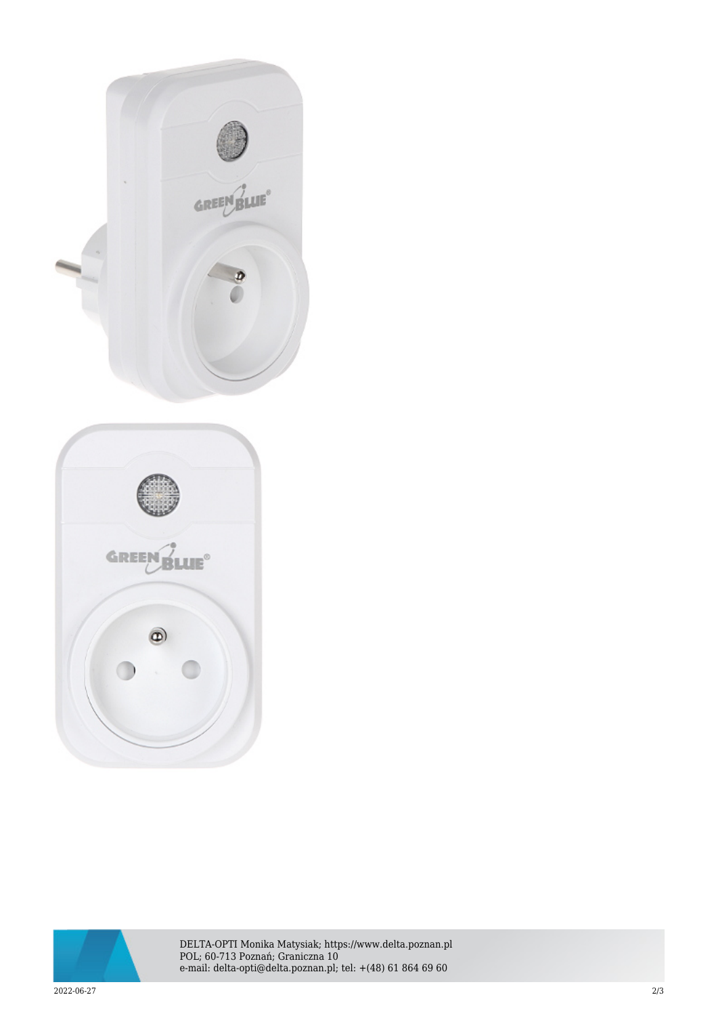





DELTA-OPTI Monika Matysiak; https://www.delta.poznan.pl POL; 60-713 Poznań; Graniczna 10 e-mail: delta-opti@delta.poznan.pl; tel: +(48) 61 864 69 60

2022-06-27 2/3